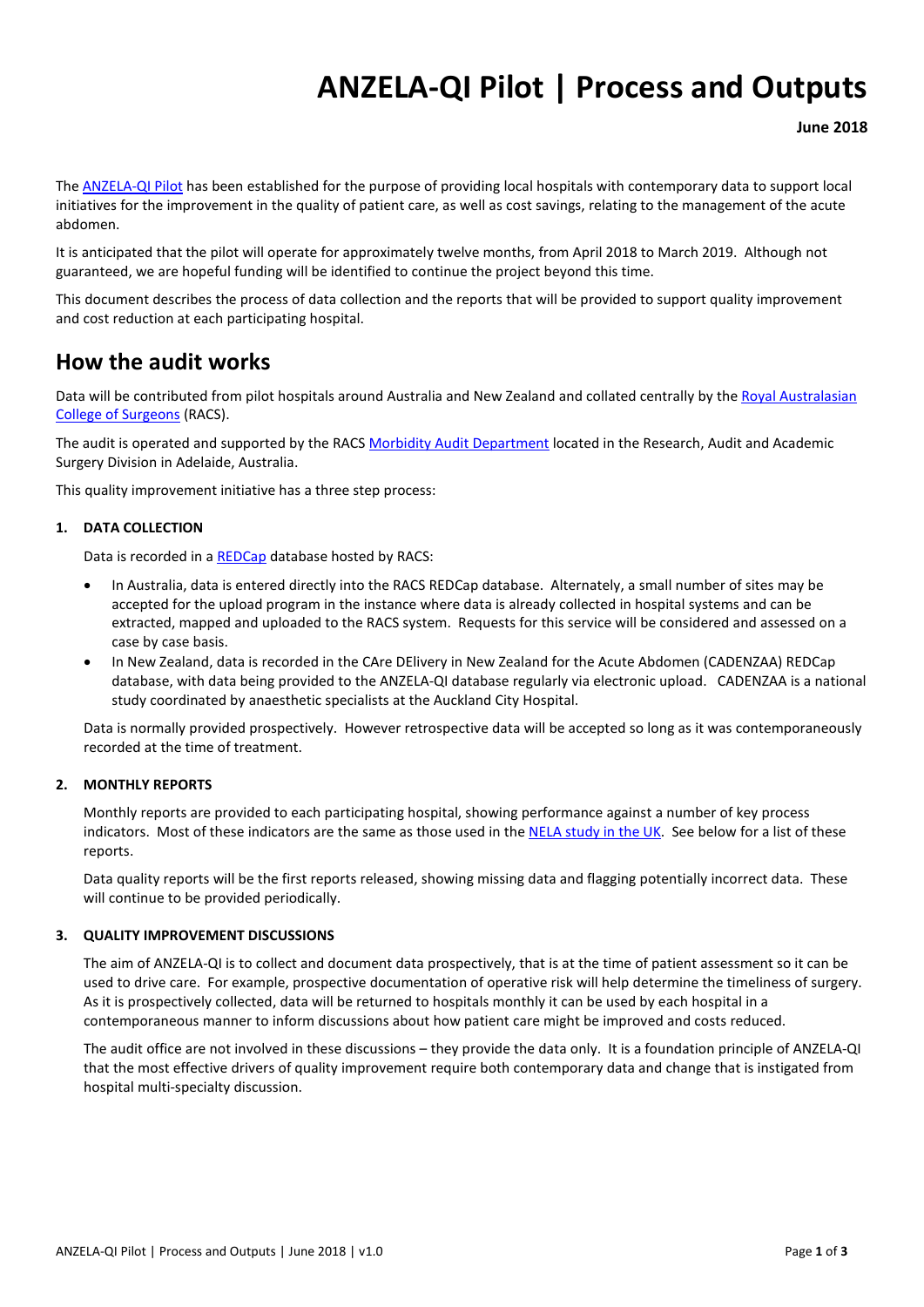# **ANZELA-QI Pilot | Process and Outputs**

**June 2018**

Th[e ANZELA-QI Pilot](http://www.surgeons.org/anzela-qi) has been established for the purpose of providing local hospitals with contemporary data to support local initiatives for the improvement in the quality of patient care, as well as cost savings, relating to the management of the acute abdomen.

It is anticipated that the pilot will operate for approximately twelve months, from April 2018 to March 2019. Although not guaranteed, we are hopeful funding will be identified to continue the project beyond this time.

This document describes the process of data collection and the reports that will be provided to support quality improvement and cost reduction at each participating hospital.

#### **How the audit works**

Data will be contributed from pilot hospitals around Australia and New Zealand and collated centrally by the [Royal Australasian](http://www.surgeons.org/)  [College of Surgeons](http://www.surgeons.org/) (RACS).

The audit is operated and supported by the RACS [Morbidity Audit Department](https://www.surgeons.org/for-health-professionals/audits-and-surgical-research/morbidity-audits/) located in the Research, Audit and Academic Surgery Division in Adelaide, Australia.

This quality improvement initiative has a three step process:

#### **1. DATA COLLECTION**

Data is recorded in a [REDCap](https://www.project-redcap.org/) database hosted by RACS:

- In Australia, data is entered directly into the RACS REDCap database. Alternately, a small number of sites may be accepted for the upload program in the instance where data is already collected in hospital systems and can be extracted, mapped and uploaded to the RACS system. Requests for this service will be considered and assessed on a case by case basis.
- In New Zealand, data is recorded in the CAre DElivery in New Zealand for the Acute Abdomen (CADENZAA) REDCap database, with data being provided to the ANZELA-QI database regularly via electronic upload. CADENZAA is a national study coordinated by anaesthetic specialists at the Auckland City Hospital.

Data is normally provided prospectively. However retrospective data will be accepted so long as it was contemporaneously recorded at the time of treatment.

#### **2. MONTHLY REPORTS**

Monthly reports are provided to each participating hospital, showing performance against a number of key process indicators. Most of these indicators are the same as those used in th[e NELA study in the UK.](http://www.nela.org.uk/) See below for a list of these reports.

Data quality reports will be the first reports released, showing missing data and flagging potentially incorrect data. These will continue to be provided periodically.

#### **3. QUALITY IMPROVEMENT DISCUSSIONS**

The aim of ANZELA-QI is to collect and document data prospectively, that is at the time of patient assessment so it can be used to drive care. For example, prospective documentation of operative risk will help determine the timeliness of surgery. As it is prospectively collected, data will be returned to hospitals monthly it can be used by each hospital in a contemporaneous manner to inform discussions about how patient care might be improved and costs reduced.

The audit office are not involved in these discussions – they provide the data only. It is a foundation principle of ANZELA-QI that the most effective drivers of quality improvement require both contemporary data and change that is instigated from hospital multi-specialty discussion.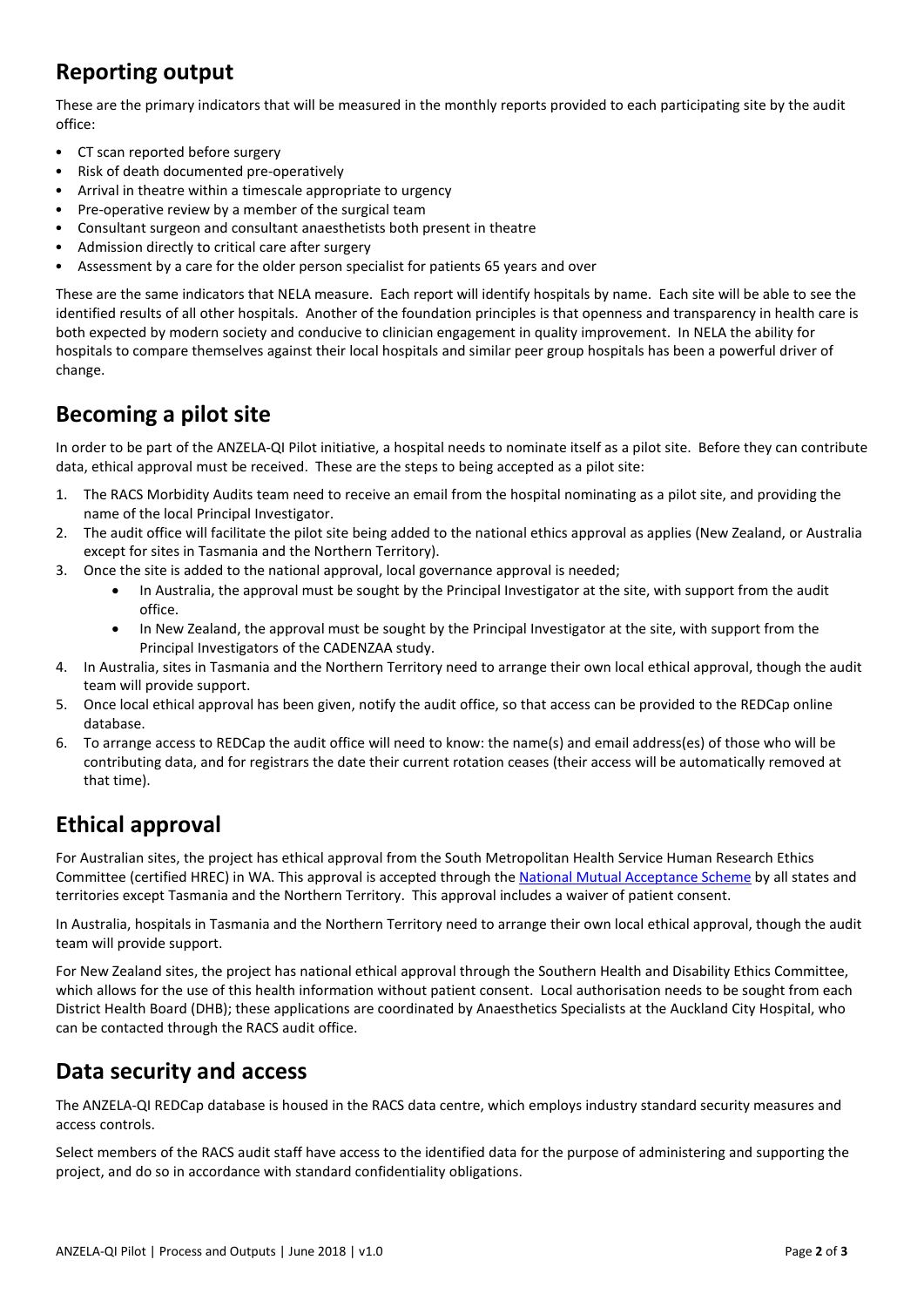# **Reporting output**

These are the primary indicators that will be measured in the monthly reports provided to each participating site by the audit office:

- CT scan reported before surgery
- Risk of death documented pre-operatively
- Arrival in theatre within a timescale appropriate to urgency
- Pre-operative review by a member of the surgical team
- Consultant surgeon and consultant anaesthetists both present in theatre
- Admission directly to critical care after surgery
- Assessment by a care for the older person specialist for patients 65 years and over

These are the same indicators that NELA measure. Each report will identify hospitals by name. Each site will be able to see the identified results of all other hospitals. Another of the foundation principles is that openness and transparency in health care is both expected by modern society and conducive to clinician engagement in quality improvement. In NELA the ability for hospitals to compare themselves against their local hospitals and similar peer group hospitals has been a powerful driver of change.

### **Becoming a pilot site**

In order to be part of the ANZELA-QI Pilot initiative, a hospital needs to nominate itself as a pilot site. Before they can contribute data, ethical approval must be received. These are the steps to being accepted as a pilot site:

- 1. The RACS Morbidity Audits team need to receive an email from the hospital nominating as a pilot site, and providing the name of the local Principal Investigator.
- 2. The audit office will facilitate the pilot site being added to the national ethics approval as applies (New Zealand, or Australia except for sites in Tasmania and the Northern Territory).
- 3. Once the site is added to the national approval, local governance approval is needed;
	- In Australia, the approval must be sought by the Principal Investigator at the site, with support from the audit office.
	- In New Zealand, the approval must be sought by the Principal Investigator at the site, with support from the Principal Investigators of the CADENZAA study.
- 4. In Australia, sites in Tasmania and the Northern Territory need to arrange their own local ethical approval, though the audit team will provide support.
- 5. Once local ethical approval has been given, notify the audit office, so that access can be provided to the REDCap online database.
- 6. To arrange access to REDCap the audit office will need to know: the name(s) and email address(es) of those who will be contributing data, and for registrars the date their current rotation ceases (their access will be automatically removed at that time).

# **Ethical approval**

For Australian sites, the project has ethical approval from the South Metropolitan Health Service Human Research Ethics Committee (certified HREC) in WA. This approval is accepted through th[e National Mutual Acceptance Scheme](https://www.nhmrc.gov.au/health-ethics/national-approach-single-ethical-review/institutions-certified-ethics-review-processes) by all states and territories except Tasmania and the Northern Territory. This approval includes a waiver of patient consent.

In Australia, hospitals in Tasmania and the Northern Territory need to arrange their own local ethical approval, though the audit team will provide support.

For New Zealand sites, the project has national ethical approval through the Southern Health and Disability Ethics Committee, which allows for the use of this health information without patient consent. Local authorisation needs to be sought from each District Health Board (DHB); these applications are coordinated by Anaesthetics Specialists at the Auckland City Hospital, who can be contacted through the RACS audit office.

### **Data security and access**

The ANZELA-QI REDCap database is housed in the RACS data centre, which employs industry standard security measures and access controls.

Select members of the RACS audit staff have access to the identified data for the purpose of administering and supporting the project, and do so in accordance with standard confidentiality obligations.